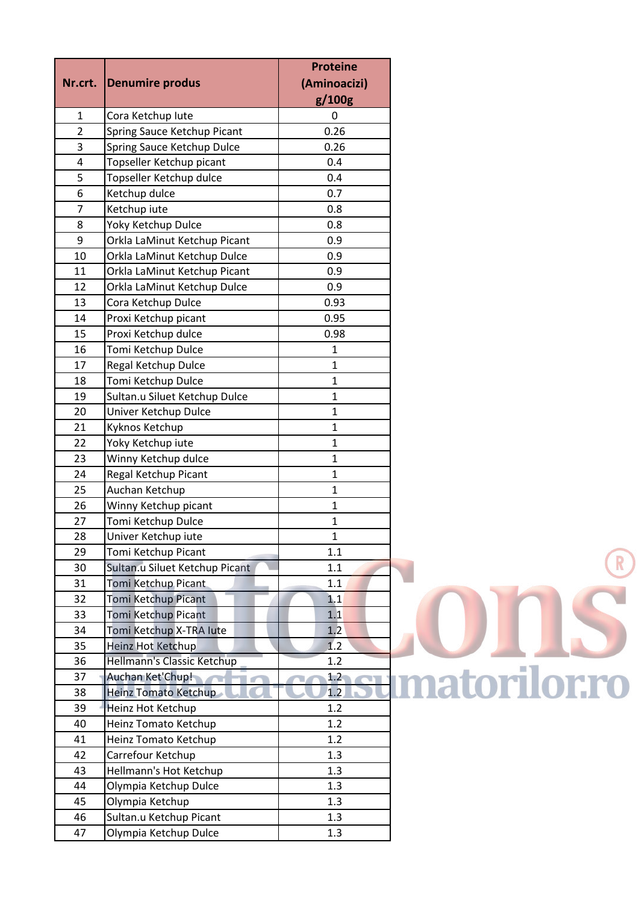|                |                                | <b>Proteine</b> |                      |
|----------------|--------------------------------|-----------------|----------------------|
| Nr.crt.        | Denumire produs                | (Aminoacizi)    |                      |
|                |                                | g/100g          |                      |
| $\mathbf{1}$   | Cora Ketchup lute              | $\mathbf 0$     |                      |
| $\overline{2}$ | Spring Sauce Ketchup Picant    | 0.26            |                      |
| 3              | Spring Sauce Ketchup Dulce     | 0.26            |                      |
| 4              | Topseller Ketchup picant       | 0.4             |                      |
| 5              | Topseller Ketchup dulce        | 0.4             |                      |
| 6              | Ketchup dulce                  | 0.7             |                      |
| $\overline{7}$ | Ketchup iute                   | 0.8             |                      |
| 8              | Yoky Ketchup Dulce             | 0.8             |                      |
| 9              | Orkla LaMinut Ketchup Picant   | 0.9             |                      |
| 10             | Orkla LaMinut Ketchup Dulce    | 0.9             |                      |
| 11             | Orkla LaMinut Ketchup Picant   | 0.9             |                      |
| 12             | Orkla LaMinut Ketchup Dulce    | 0.9             |                      |
| 13             | Cora Ketchup Dulce             | 0.93            |                      |
| 14             | Proxi Ketchup picant           | 0.95            |                      |
| 15             | Proxi Ketchup dulce            | 0.98            |                      |
| 16             | Tomi Ketchup Dulce             | 1               |                      |
| 17             | Regal Ketchup Dulce            | $\mathbf{1}$    |                      |
| 18             | Tomi Ketchup Dulce             | $\mathbf 1$     |                      |
| 19             | Sultan.u Siluet Ketchup Dulce  | $\mathbf{1}$    |                      |
| 20             | Univer Ketchup Dulce           | $\mathbf{1}$    |                      |
| 21             | Kyknos Ketchup                 | $\mathbf 1$     |                      |
| 22             | Yoky Ketchup iute              | $\mathbf{1}$    |                      |
| 23             | Winny Ketchup dulce            | $\mathbf{1}$    |                      |
| 24             | Regal Ketchup Picant           | $\mathbf 1$     |                      |
| 25             | Auchan Ketchup                 | $\mathbf 1$     |                      |
| 26             | Winny Ketchup picant           | $\mathbf{1}$    |                      |
| 27             | Tomi Ketchup Dulce             | $\mathbf 1$     |                      |
| 28             | Univer Ketchup iute            | 1               |                      |
| 29             | Tomi Ketchup Picant            | 1.1             |                      |
| 30             | Sultan.u Siluet Ketchup Picant | 1.1             |                      |
| 31             | Tomi Ketchup Picant            | $1.1\,$         |                      |
| 32             | Tomi Ketchup Picant            | 1.1             |                      |
| 33             | Tomi Ketchup Picant            | 1.1             |                      |
| 34             | Tomi Ketchup X-TRA lute        | 1.2             |                      |
| 35             | Heinz Hot Ketchup              | 1.2             |                      |
| 36             | Hellmann's Classic Ketchup     | 1.2             |                      |
| 37             | Auchan Ket'Chup!               | 1.2             | <b>Imatorilor.ro</b> |
| 38             | Heinz Tomato Ketchup           | 1.2             |                      |
| 39             | Heinz Hot Ketchup              | 1.2             |                      |
| 40             | Heinz Tomato Ketchup           | 1.2             |                      |
| 41             | Heinz Tomato Ketchup           | 1.2             |                      |
| 42             | Carrefour Ketchup              | 1.3             |                      |
| 43             | Hellmann's Hot Ketchup         | 1.3             |                      |
| 44             | Olympia Ketchup Dulce          | 1.3             |                      |
| 45             | Olympia Ketchup                | 1.3             |                      |
| 46             | Sultan.u Ketchup Picant        | 1.3             |                      |
| 47             | Olympia Ketchup Dulce          | 1.3             |                      |